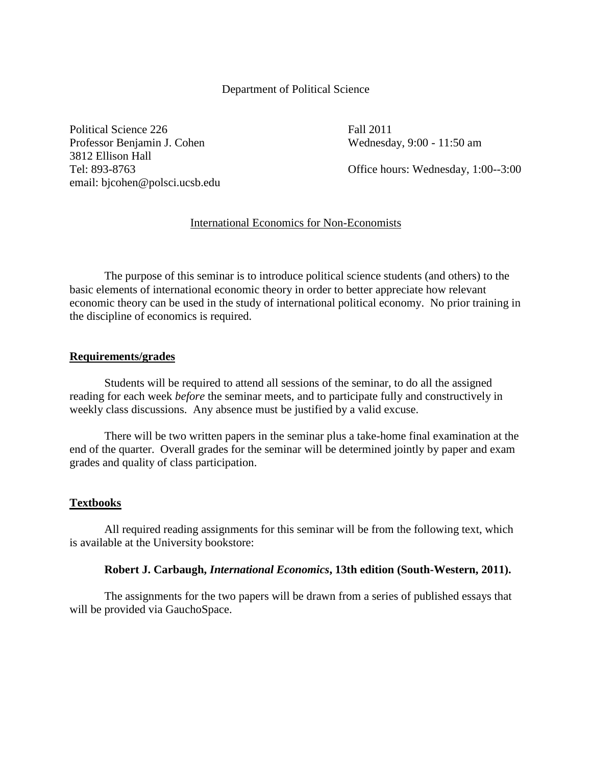### Department of Political Science

Political Science 226 Fall 2011 Professor Benjamin J. Cohen Wednesday, 9:00 - 11:50 am 3812 Ellison Hall email: bjcohen@polsci.ucsb.edu

Tel: 893-8763 Office hours: Wednesday, 1:00--3:00

## International Economics for Non-Economists

The purpose of this seminar is to introduce political science students (and others) to the basic elements of international economic theory in order to better appreciate how relevant economic theory can be used in the study of international political economy. No prior training in the discipline of economics is required.

#### **Requirements/grades**

Students will be required to attend all sessions of the seminar, to do all the assigned reading for each week *before* the seminar meets, and to participate fully and constructively in weekly class discussions. Any absence must be justified by a valid excuse.

There will be two written papers in the seminar plus a take-home final examination at the end of the quarter. Overall grades for the seminar will be determined jointly by paper and exam grades and quality of class participation.

#### **Textbooks**

All required reading assignments for this seminar will be from the following text, which is available at the University bookstore:

#### **Robert J. Carbaugh,** *International Economics***, 13th edition (South-Western, 2011).**

The assignments for the two papers will be drawn from a series of published essays that will be provided via GauchoSpace.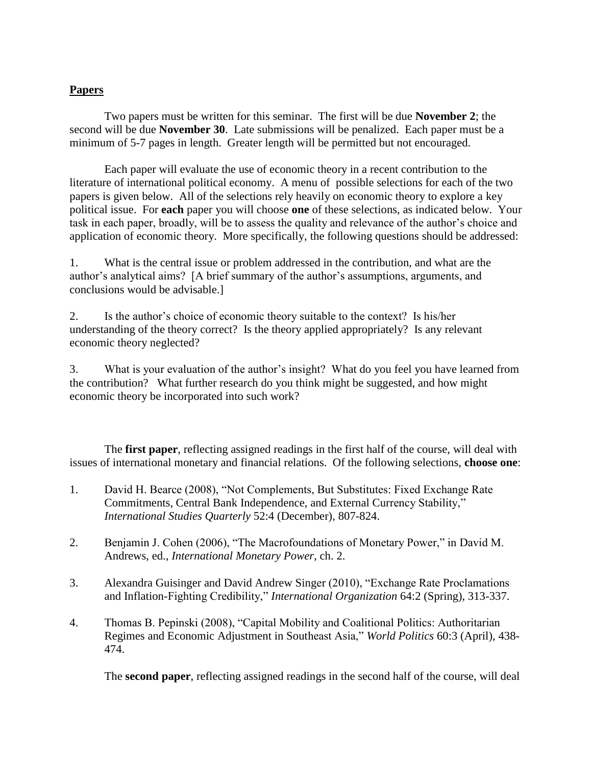# **Papers**

Two papers must be written for this seminar. The first will be due **November 2**; the second will be due **November 30**. Late submissions will be penalized. Each paper must be a minimum of 5-7 pages in length. Greater length will be permitted but not encouraged.

Each paper will evaluate the use of economic theory in a recent contribution to the literature of international political economy. A menu of possible selections for each of the two papers is given below. All of the selections rely heavily on economic theory to explore a key political issue. For **each** paper you will choose **one** of these selections, as indicated below. Your task in each paper, broadly, will be to assess the quality and relevance of the author's choice and application of economic theory. More specifically, the following questions should be addressed:

1. What is the central issue or problem addressed in the contribution, and what are the author's analytical aims? [A brief summary of the author's assumptions, arguments, and conclusions would be advisable.]

2. Is the author's choice of economic theory suitable to the context? Is his/her understanding of the theory correct? Is the theory applied appropriately? Is any relevant economic theory neglected?

3. What is your evaluation of the author's insight? What do you feel you have learned from the contribution? What further research do you think might be suggested, and how might economic theory be incorporated into such work?

The **first paper**, reflecting assigned readings in the first half of the course, will deal with issues of international monetary and financial relations. Of the following selections, **choose one**:

- 1. David H. Bearce (2008), "Not Complements, But Substitutes: Fixed Exchange Rate Commitments, Central Bank Independence, and External Currency Stability," *International Studies Quarterly* 52:4 (December), 807-824.
- 2. Benjamin J. Cohen (2006), "The Macrofoundations of Monetary Power," in David M. Andrews, ed., *International Monetary Power*, ch. 2.
- 3. Alexandra Guisinger and David Andrew Singer (2010), "Exchange Rate Proclamations and Inflation-Fighting Credibility," *International Organization* 64:2 (Spring), 313-337.
- 4. Thomas B. Pepinski (2008), "Capital Mobility and Coalitional Politics: Authoritarian Regimes and Economic Adjustment in Southeast Asia," *World Politics* 60:3 (April), 438- 474.

The **second paper**, reflecting assigned readings in the second half of the course, will deal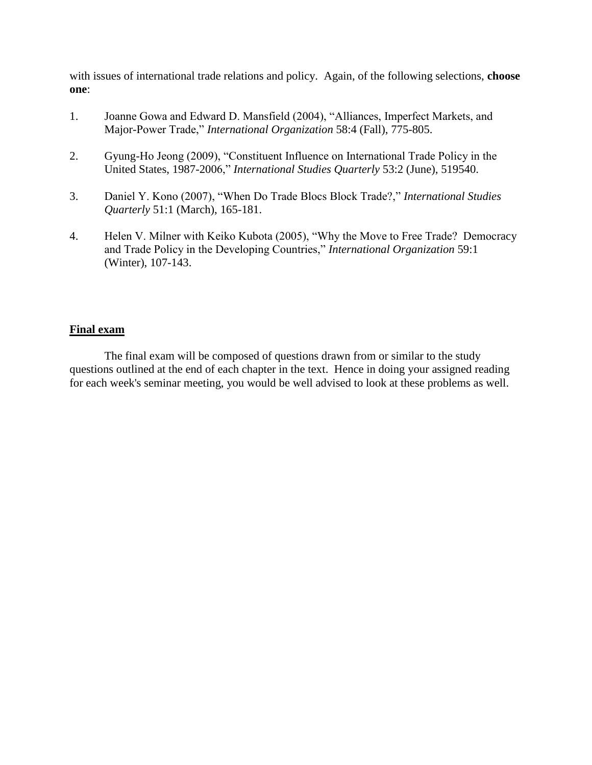with issues of international trade relations and policy. Again, of the following selections, **choose one**:

- 1. Joanne Gowa and Edward D. Mansfield (2004), "Alliances, Imperfect Markets, and Major-Power Trade," *International Organization* 58:4 (Fall), 775-805.
- 2. Gyung-Ho Jeong (2009), "Constituent Influence on International Trade Policy in the United States, 1987-2006," *International Studies Quarterly* 53:2 (June), 519540.
- 3. Daniel Y. Kono (2007), "When Do Trade Blocs Block Trade?," *International Studies Quarterly* 51:1 (March), 165-181.
- 4. Helen V. Milner with Keiko Kubota (2005), "Why the Move to Free Trade? Democracy and Trade Policy in the Developing Countries," *International Organization* 59:1 (Winter), 107-143.

## **Final exam**

The final exam will be composed of questions drawn from or similar to the study questions outlined at the end of each chapter in the text. Hence in doing your assigned reading for each week's seminar meeting, you would be well advised to look at these problems as well.